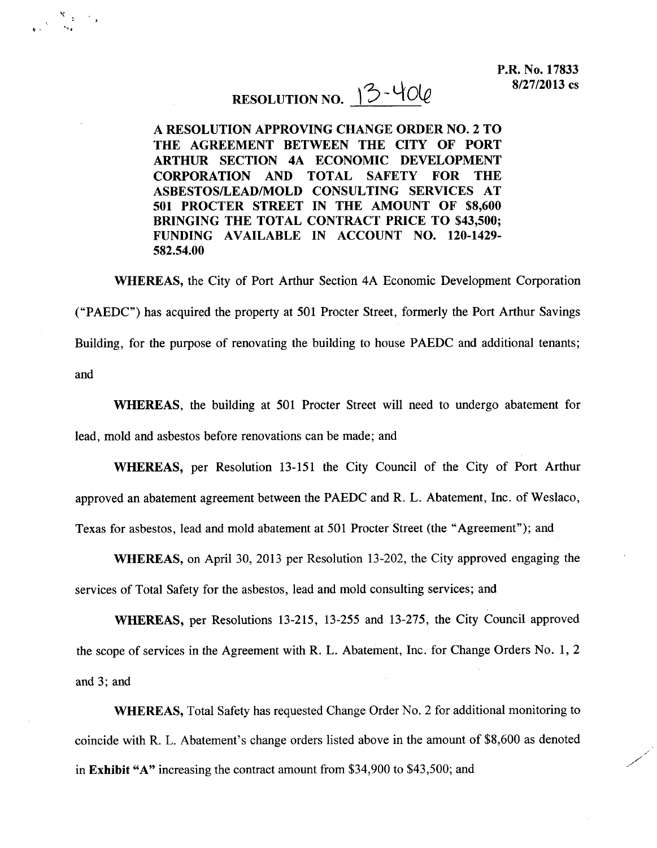## RESOLUTION NO.  $3 - 400$

 $\frac{\mathcal{R}}{\mathcal{R}^{(1)}}\leq \frac{1}{\mathcal{R}^{(1)}}\leq \frac{1}{\mathcal{R}^{(1)}}$ 

A RESOLUTION APPROVING CHANGE ORDER NO.2 TO THE AGREEMENT BETWEEN THE CITY OF PORT ARTHUR SECTION 4A ECONOMIC DEVELOPMENT CORPORATION AND TOTAL SAFETY FOR THE ASBESTOS/LEAD/MOLD CONSULTING SERVICES AT 501 PROCTER STREET IN THE AMOUNT OF \$8,600 BRINGING THE TOTAL CONTRACT PRICE TO \$43,500; FUNDING AVAILABLE IN ACCOUNT NO. 120-1429- 582.54.00

WHEREAS, the City of Port Arthur Section 4A Economic Development Corporation ("PAEDC") has acquired the property at 501 Procter Street, formerly the Port Arthur Savings Building, for the purpose of renovating the building to house PAEDC and additional tenants; and

WHEREAS, the building at 501 Procter Street will need to undergo abatement for lead, mold and asbestos before renovations can be made; and

WHEREAS, per Resolution 13-151 the City Council of the City of Port Arthur approved an abatement agreement between the PAEDC and R. L. Abatement, Inc. of Weslaco, Texas for asbestos, lead and mold abatement at 501 Procter Street (the" Agreement"); and

WHEREAS, on April 30, 2013 per Resolution 13-202, the City approved engaging the services of Total Safety for the asbestos, lead and mold consulting services; and

WHEREAS, per Resolutions 13-215, 13-255 and 13-275, the City Council approved the scope of services in the Agreement with R. L. Abatement, Inc. for Change Orders No.1, 2 and 3; and

WHEREAS, Total Safety has requested Change Order No.2 for additional monitoring to coincide with R. L. Abatement's change orders listed above in the amount of \$8,600 as denoted in Exhibit "A" increasing the contract amount from \$34,900 to \$43,500; and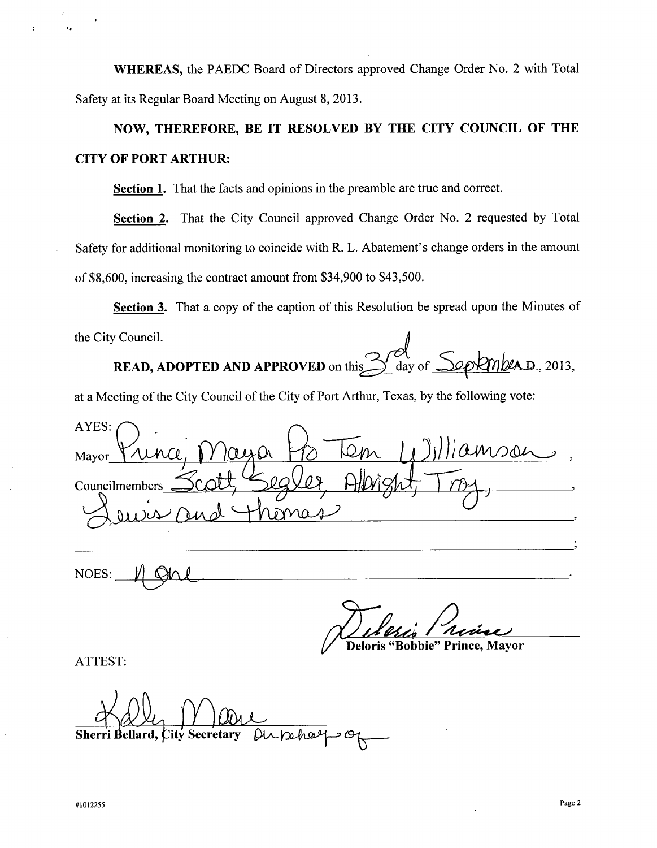**WHEREAS,** the PAEDC Board of Directors approved Change Order No.2 with Total Safety at its Regular Board Meeting on August 8, 2013.

**NOW, THEREFORE, BE IT RESOLVED BY THE CITY COUNCIL OF THE CITY OF PORT ARTHUR:**

**Section 1.** That the facts and opinions in the preamble are true and correct.

**Section 2.** That the City Council approved Change Order No. 2 requested by Total Safety for additional monitoring to coincide with R. L. Abatement's change orders in the amount of \$8,600, increasing the contract amount from \$34,900 to \$43,500.

**Section 3.** That a copy of the caption of this Resolution be spread upon the Minutes of

1- **I,**

the City Council. **READ, ADOPTED AND APPROVED** on this day of <u>Septempt</u> A.D., 2013

at a Meeting of the City Council of the City of Port Arthur, Texas, by the following vote:

AYES: iamson, Mayor Councilmembers Jewis and Thoma

 $NOES:~$   $\parallel$   $QM$ 

Deloris "Bobbie" Prince, Mavor

ATTEST:

 $D$ uphaepop **Sherri Bellard, City Secretary**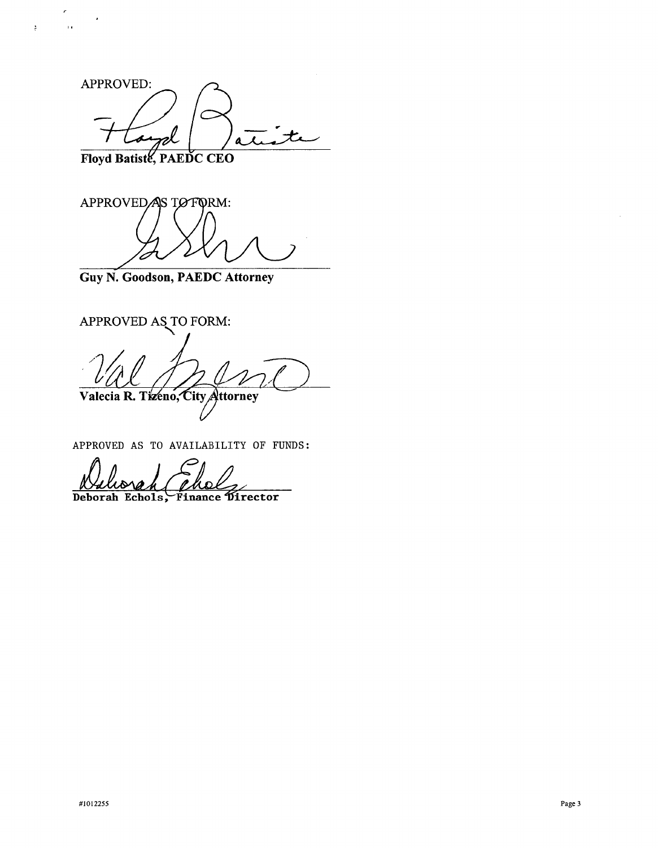APPROVED: rel  $\boldsymbol{+}$ ,  $\mathbf{A}$ 

Floyd Batiste, PAEDC CEO

 $\epsilon$ 

 $\ddot{z}$ 

 $\overline{\mathbf{a}}$ 

 $\cdot$ 

APPROVED AS TO FORM:

**Guy N. Goodson, PAEDC Attorney**

APPROVED AS TO FORM Valecia R. Tizeno, City Attorney

APPROVED AS TO AVAILABILITY OF FUNDS:

Deborah Echols, Finance Director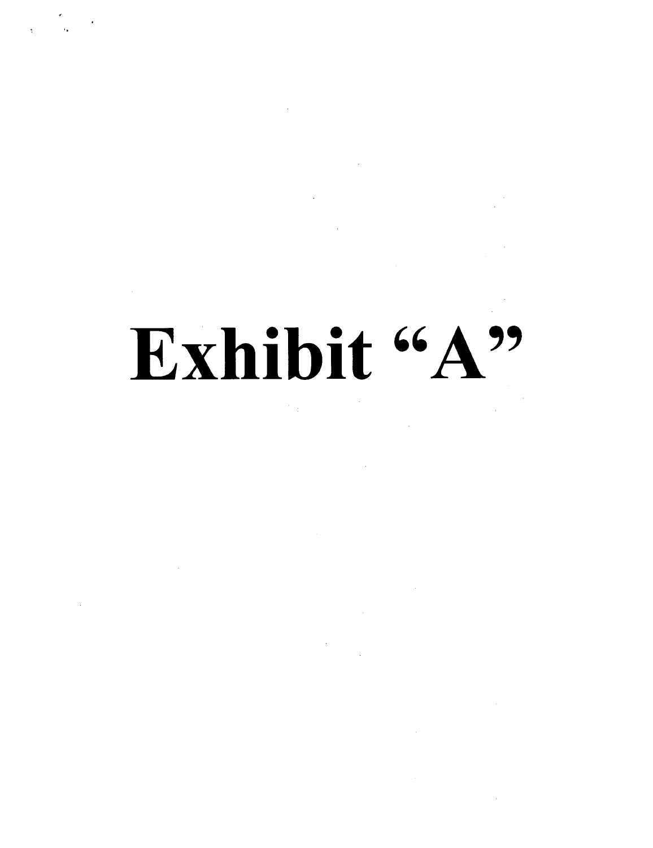# Exhibit "A"

 $\mathcal{O}_{\mathcal{A}}$  and  $\mathcal{O}_{\mathcal{A}}$ 

 $\label{eq:2.1} \frac{1}{\sqrt{2}}\int_{0}^{\pi}\frac{1}{\sqrt{2}}\left(\frac{1}{\sqrt{2}}\right)^{2}d\mu_{\rm{eff}}\,.$ 

 $\sim 10^{11}$ 

 $\label{eq:2.1} \frac{1}{2} \int_{\mathbb{R}^3} \frac{1}{\sqrt{2}} \, \frac{1}{\sqrt{2}} \, \frac{1}{\sqrt{2}} \, \frac{1}{\sqrt{2}} \, \frac{1}{\sqrt{2}} \, \frac{1}{\sqrt{2}} \, \frac{1}{\sqrt{2}} \, \frac{1}{\sqrt{2}} \, \frac{1}{\sqrt{2}} \, \frac{1}{\sqrt{2}} \, \frac{1}{\sqrt{2}} \, \frac{1}{\sqrt{2}} \, \frac{1}{\sqrt{2}} \, \frac{1}{\sqrt{2}} \, \frac{1}{\sqrt{2}} \, \frac{1}{\sqrt{2}} \,$ 

 $\label{eq:2.1} \frac{1}{\sqrt{2\pi}}\sum_{i=1}^n\frac{1}{\sqrt{2\pi}}\sum_{i=1}^n\frac{1}{\sqrt{2\pi}}\sum_{i=1}^n\frac{1}{\sqrt{2\pi}}\sum_{i=1}^n\frac{1}{\sqrt{2\pi}}\sum_{i=1}^n\frac{1}{\sqrt{2\pi}}\sum_{i=1}^n\frac{1}{\sqrt{2\pi}}\sum_{i=1}^n\frac{1}{\sqrt{2\pi}}\sum_{i=1}^n\frac{1}{\sqrt{2\pi}}\sum_{i=1}^n\frac{1}{\sqrt{2\pi}}\sum_{i=1}^n\$ 

 $\frac{1}{2} \left( \frac{1}{2} \right)$ 

 $\bar{A}$ 

 $\label{eq:2.1} \frac{1}{\sqrt{2}}\left(\frac{1}{\sqrt{2}}\right)^{2} \left(\frac{1}{\sqrt{2}}\right)^{2} \left(\frac{1}{\sqrt{2}}\right)^{2} \left(\frac{1}{\sqrt{2}}\right)^{2} \left(\frac{1}{\sqrt{2}}\right)^{2} \left(\frac{1}{\sqrt{2}}\right)^{2} \left(\frac{1}{\sqrt{2}}\right)^{2} \left(\frac{1}{\sqrt{2}}\right)^{2} \left(\frac{1}{\sqrt{2}}\right)^{2} \left(\frac{1}{\sqrt{2}}\right)^{2} \left(\frac{1}{\sqrt{2}}\right)^{2} \left(\$ 

 $\mathcal{L}^{\text{max}}_{\text{max}}$ 

ď '~ ..

 $\mathcal{L}^{(1)}$ 

 $\sim 10$ 

 $\sim$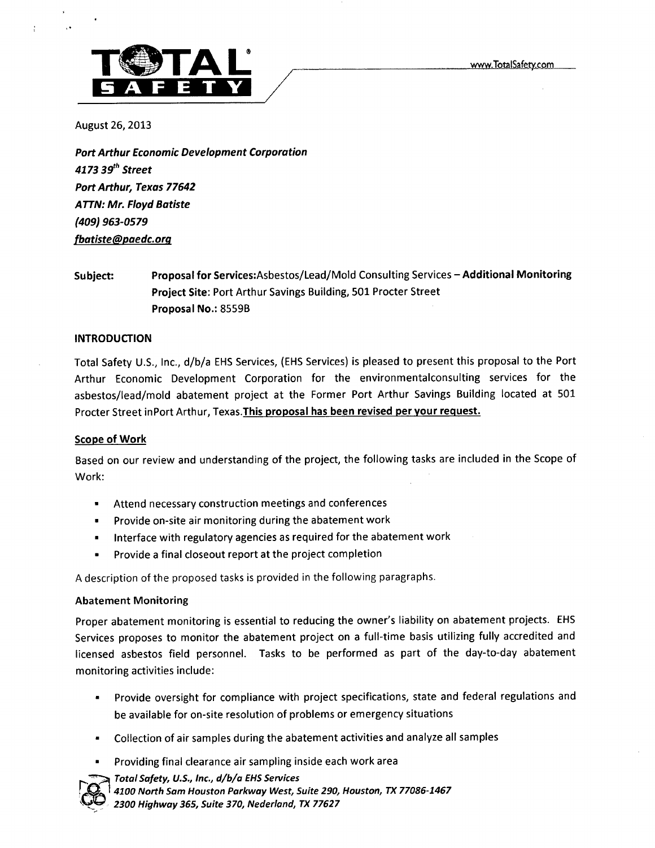

August 26, 2013

*Port Arthur Economic Development Corporotion 4173 3g<sup>h</sup> Street Port Arthur, Texas 77642 ATTN: Mr. Floyd Batiste (409) 963-0579 fbatiste@paedc.orq*

### Subject: Proposal for Services:Asbestos/Lead/Mold Consulting Services - Additional Monitoring Project Site: Port Arthur Savings Building, 501 Procter Street Proposal No.: 855gB

#### INTRODUCTION

Total Safety U.S., Inc., d/b/a EHS Services, (EHS Services) is pleased to present this proposal to the Port Arthur Economic Development Corporation for the environmentalconsulting services for the asbestos/lead/mold abatement project at the Former Port Arthur Savings Building located at 501 Procter Street inPort Arthur, Texas. This proposal has been revised per your request.

#### Scope of Work

Based on our review and understanding of the project, the following tasks are included in the Scope of Work:

- Attend necessary construction meetings and conferences
- Provide on-site air monitoring during the abatement work
- Interface with regulatory agencies as required for the abatement work
- Provide a final closeout report at the project completion

A description of the proposed tasks is provided in the following paragraphs.

#### Abatement Monitoring

Proper abatement monitoring is essential to reducing the owner's liability on abatement projects. EHS Services proposes to monitor the abatement project on a full-time basis utilizing fully accredited and licensed asbestos field personnel. Tasks to be performed as part of the day-to-day abatement monitoring activities include:

- Provide oversight for compliance with project specifications, state and federal regulations and be available for on-site resolution of problems or emergency situations
- Collection of air samples during the abatement activities and analyze all samples
- Providing final clearance air sampling inside each work area

*~ Total Safety, U.S., Inc., d/b/a EHSServices*

~ I*<sup>4100</sup> North Sam Houston Parkway West, Suite 290, Houston, TX 77086-1467*

*\. '\_~ 2300 Highway* 365, *Suite 370, Nederland, TX 77627*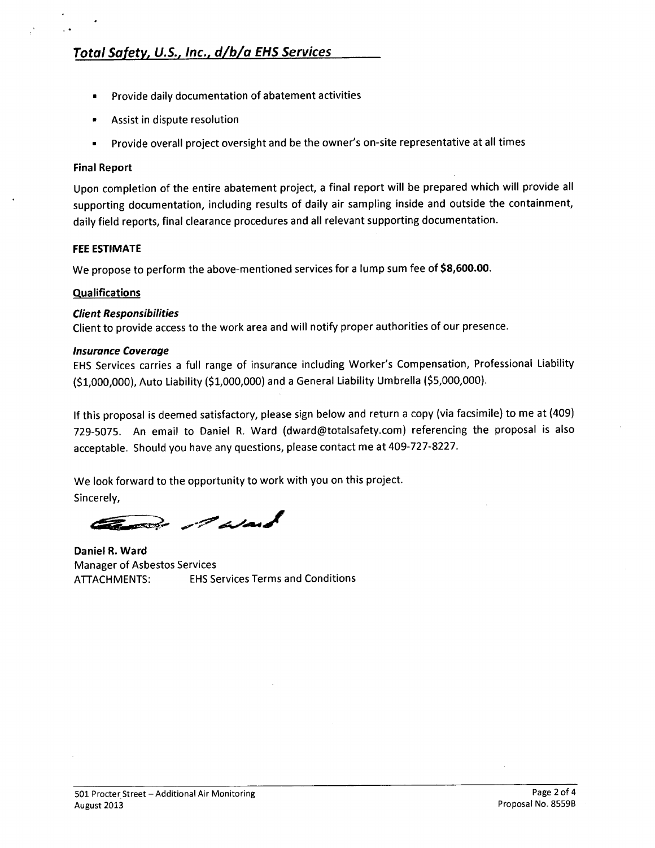- Provide daily documentation of abatement activities
- Assist in dispute resolution
- Provide overall project oversight and be the owner's on-site representative at all times

#### Final Report

, .

Upon completion of the entire abatement project, a final report will be prepared which will provide all supporting documentation, including results of daily air sampling inside and outside the containment, daily field reports, final clearance procedures and all relevant supporting documentation.

#### FEE ESTIMATE

We propose to perform the above-mentioned services for a lump sum fee of \$8,600.00.

#### **Qualifications**

#### *Client Responsibilities*

Client to provide access to the work area and will notify proper authorities of our presence.

#### *Insurance Coverage*

EHS Services carries a full range of insurance including Worker's Compensation, Professional Liability (\$1,000,000), Auto Liability (\$1,000,000) and a General Liability Umbrella (\$5,000,000).

If this proposal is deemed satisfactory, please sign below and return a copy (via facsimile) to me at (409) 729-5075. An email to Daniel R. Ward (dward@totalsafety.com) referencing the proposal is also acceptable. Should you have any questions, please contact me at 409-727-8227.

We look forward to the opportunity to work with you on this project. Sincerely,

et dat

Daniel R. Ward Manager of Asbestos Services ATIACHMENTS: EHSServices Terms and Conditions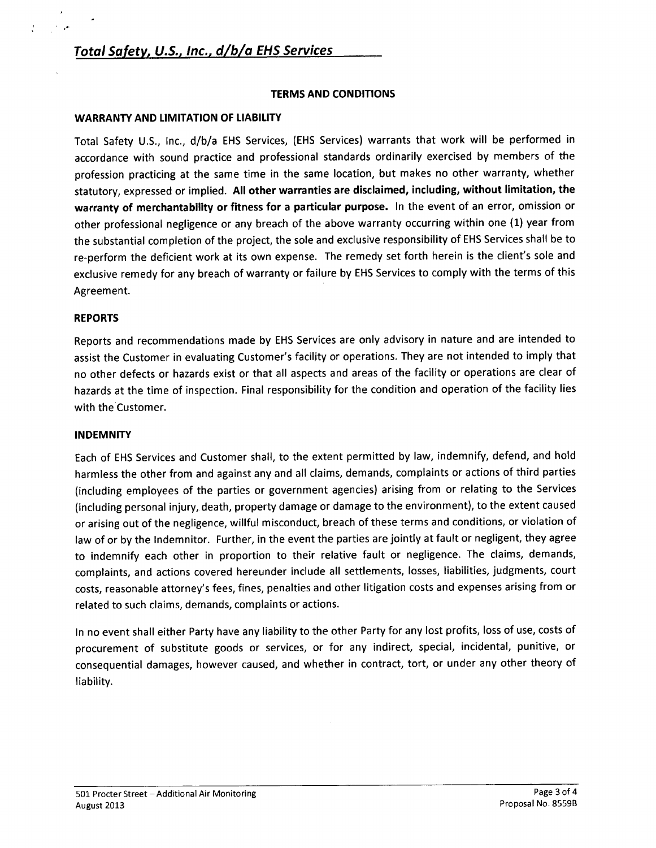#### TERMS AND CONDITIONS

#### WARRANTY AND LIMITATION OF LIABILITY

Total Safety U.S., Inc., d/b/a EHS Services, (EHS Services) warrants that work will be performed in accordance with sound practice and professional standards ordinarily exercised by members of the profession practicing at the same time in the same location, but makes no other warranty, whether statutory, expressed or implied. All other warranties are disclaimed, including, without limitation, the warranty of merchantability or fitness for a particular purpose. In the event of an error, omission or other professional negligence or any breach of the above warranty occurring within one (1) year from the substantial completion of the project, the sole and exclusive responsibility of EHS Services shall be to re-perform the deficient work at its own expense. The remedy set forth herein is the client's sole and exclusive remedy for any breach of warranty or failure by EHS Services to comply with the terms of this Agreement.

#### REPORTS

,.

Reports and recommendations made by EHS Services are only advisory in nature and are intended to assist the Customer in evaluating Customer's faciljty or operations. They are not intended to imply that no other defects or hazards exist or that all aspects and areas of the facility or operations are clear of hazards at the time of inspection. Final responsibility for the condition and operation of the facility lies with the Customer.

#### **INDEMNITY**

Each of EHS Services and Customer shall, to the extent permitted by law, indemnify, defend, and hold harmless the other from and against any and all claims, demands, complaints or actions of third parties (including employees of the parties or government agencies) arising from or relating to the Services (including personal injury, death, property damage or damage to the environment), to the extent caused or arising out of the negligence, willful misconduct, breach of these terms and conditions, or violation of law of or by the Indemnitor. Further, in the event the parties are jointly at fault or negligent, they agree to indemnify each other in proportion to their relative fault or negligence. The claims, demands, complaints, and actions covered hereunder include all settlements, losses, liabilities, judgments, court costs, reasonable attorney's fees, fines, penalties and other litigation costs and expenses arising from or related to such claims, demands, complaints or actions.

In no event shall either Party have any liability to the other Party for any lost profits, loss of use, costs of procurement of substitute goods or services, or for any indirect, special, incidental, punitive, or consequential damages, however caused, and whether in contract, tort, or under any other theory of liability.